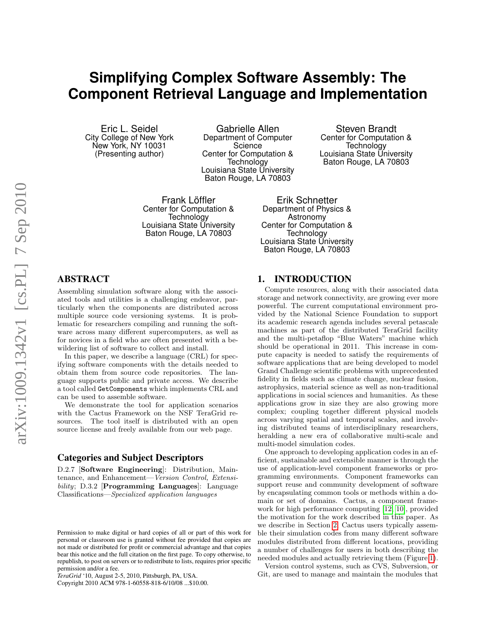# **Simplifying Complex Software Assembly: The Component Retrieval Language and Implementation**

Eric L. Seidel City College of New York New York, NY 10031 (Presenting author)

Gabrielle Allen Department of Computer **Science** Center for Computation & **Technology** Louisiana State University Baton Rouge, LA 70803

Frank Löffler Center for Computation & **Technology** Louisiana State University Baton Rouge, LA 70803

Steven Brandt Center for Computation & **Technology** Louisiana State University Baton Rouge, LA 70803

Erik Schnetter Department of Physics & Astronomy Center for Computation & **Technology** Louisiana State University Baton Rouge, LA 70803

## ABSTRACT

Assembling simulation software along with the associated tools and utilities is a challenging endeavor, particularly when the components are distributed across multiple source code versioning systems. It is problematic for researchers compiling and running the software across many different supercomputers, as well as for novices in a field who are often presented with a bewildering list of software to collect and install.

In this paper, we describe a language (CRL) for specifying software components with the details needed to obtain them from source code repositories. The language supports public and private access. We describe a tool called GetComponents which implements CRL and can be used to assemble software.

We demonstrate the tool for application scenarios with the Cactus Framework on the NSF TeraGrid resources. The tool itself is distributed with an open source license and freely available from our web page.

## Categories and Subject Descriptors

D.2.7 [Software Engineering]: Distribution, Maintenance, and Enhancement—Version Control, Extensi- $\textit{bility};$  D.3.2 [Programming Languages]: Language Classifications—Specialized application languages

Copyright 2010 ACM 978-1-60558-818-6/10/08 ...\$10.00.

#### 1. INTRODUCTION

Compute resources, along with their associated data storage and network connectivity, are growing ever more powerful. The current computational environment provided by the National Science Foundation to support its academic research agenda includes several petascale machines as part of the distributed TeraGrid facility and the multi-petaflop "Blue Waters" machine which should be operational in 2011. This increase in compute capacity is needed to satisfy the requirements of software applications that are being developed to model Grand Challenge scientific problems with unprecedented fidelity in fields such as climate change, nuclear fusion, astrophysics, material science as well as non-traditional applications in social sciences and humanities. As these applications grow in size they are also growing more complex; coupling together different physical models across varying spatial and temporal scales, and involving distributed teams of interdisciplinary researchers, heralding a new era of collaborative multi-scale and multi-model simulation codes.

One approach to developing application codes in an efficient, sustainable and extensible manner is through the use of application-level component frameworks or programming environments. Component frameworks can support reuse and community development of software by encapsulating common tools or methods within a domain or set of domains. Cactus, a component framework for high performance computing [\[12,](#page-7-0) [10\]](#page-7-1), provided the motivation for the work described in this paper. As we describe in Section [2,](#page-1-0) Cactus users typically assemble their simulation codes from many different software modules distributed from different locations, providing a number of challenges for users in both describing the needed modules and actually retrieving them (Figure [1\)](#page-1-1).

Version control systems, such as CVS, Subversion, or Git, are used to manage and maintain the modules that

Permission to make digital or hard copies of all or part of this work for personal or classroom use is granted without fee provided that copies are not made or distributed for profit or commercial advantage and that copies bear this notice and the full citation on the first page. To copy otherwise, to republish, to post on servers or to redistribute to lists, requires prior specific permission and/or a fee.

*TeraGrid* '10, August 2-5, 2010, Pittsburgh, PA, USA.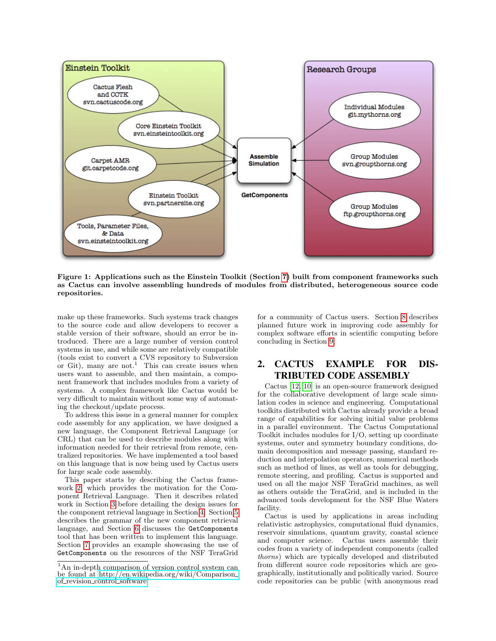<span id="page-1-1"></span>

Figure 1: Applications such as the Einstein Toolkit (Section [7\)](#page-4-0) built from component frameworks such as Cactus can involve assembling hundreds of modules from distributed, heterogeneous source code repositories.

make up these frameworks. Such systems track changes to the source code and allow developers to recover a stable version of their software, should an error be introduced. There are a large number of version control systems in use, and while some are relatively compatible (tools exist to convert a CVS repository to Subversion or Git), many are not.<sup>1</sup> This can create issues when users want to assemble, and then maintain, a component framework that includes modules from a variety of systems. A complex framework like Cactus would be very difficult to maintain without some way of automating the checkout/update process.

To address this issue in a general manner for complex code assembly for any application, we have designed a new language, the Component Retrieval Language (or CRL) that can be used to describe modules along with information needed for their retrieval from remote, centralized repositories. We have implemented a tool based on this language that is now being used by Cactus users for large scale code assembly.

This paper starts by describing the Cactus framework [2,](#page-1-0) which provides the motivation for the Component Retrieval Language. Then it describes related work in Section [3](#page-2-0) before detailing the design issues for the component retrieval language in Section [4.](#page-2-1) Section [5](#page-3-0) describes the grammar of the new component retrieval language, and Section [6](#page-3-1) discusses the GetComponents tool that has been written to implement this language. Section [7](#page-4-0) provides an example showcasing the use of GetComponents on the resources of the NSF TeraGrid for a community of Cactus users. Section [8](#page-5-0) describes planned future work in improving code assembly for complex software efforts in scientific computing before concluding in Section [9.](#page-6-0)

# <span id="page-1-0"></span>2. CACTUS EXAMPLE FOR DIS-TRIBUTED CODE ASSEMBLY

Cactus [\[12,](#page-7-0) [10\]](#page-7-1) is an open-source framework designed for the collaborative development of large scale simulation codes in science and engineering. Computational toolkits distributed with Cactus already provide a broad range of capabilities for solving initial value problems in a parallel environment. The Cactus Computational Toolkit includes modules for I/O, setting up coordinate systems, outer and symmetry boundary conditions, domain decomposition and message passing, standard reduction and interpolation operators, numerical methods such as method of lines, as well as tools for debugging, remote steering, and profiling. Cactus is supported and used on all the major NSF TeraGrid machines, as well as others outside the TeraGrid, and is included in the advanced tools development for the NSF Blue Waters facility.

Cactus is used by applications in areas including relativistic astrophysics, computational fluid dynamics, reservoir simulations, quantum gravity, coastal science and computer science. Cactus users assemble their codes from a variety of independent components (called thorns) which are typically developed and distributed from different source code repositories which are geographically, institutionally and politically varied. Source code repositories can be public (with anonymous read

<sup>&</sup>lt;sup>1</sup>An in-depth comparison of version control system can be found at [http://en.wikipedia.org/wiki/Comparison](http://en.wikipedia.org/wiki/Comparison_of_revision_control_software) of revision control [software](http://en.wikipedia.org/wiki/Comparison_of_revision_control_software)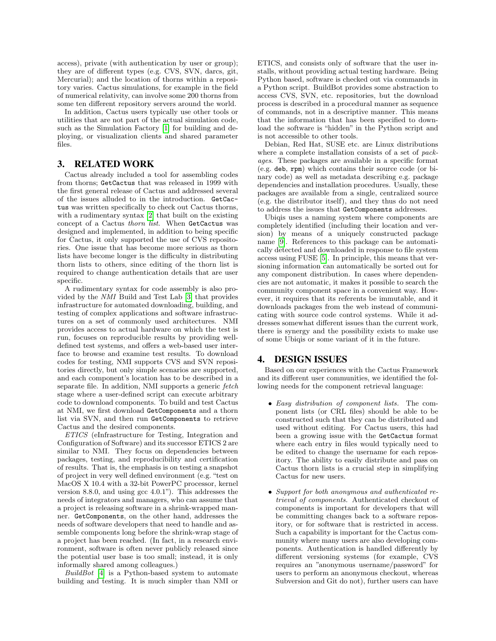access), private (with authentication by user or group); they are of different types (e.g. CVS, SVN, darcs, git, Mercurial); and the location of thorns within a repository varies. Cactus simulations, for example in the field of numerical relativity, can involve some 200 thorns from some ten different repository servers around the world.

In addition, Cactus users typically use other tools or utilities that are not part of the actual simulation code, such as the Simulation Factory [\[1\]](#page-7-2) for building and deploying, or visualization clients and shared parameter files.

#### <span id="page-2-0"></span>3. RELATED WORK

Cactus already included a tool for assembling codes from thorns; GetCactus that was released in 1999 with the first general release of Cactus and addressed several of the issues alluded to in the introduction. GetCactus was written specifically to check out Cactus thorns, with a rudimentary syntax [\[2\]](#page-7-3) that built on the existing concept of a Cactus thorn list. When GetCactus was designed and implemented, in addition to being specific for Cactus, it only supported the use of CVS repositories. One issue that has become more serious as thorn lists have become longer is the difficulty in distributing thorn lists to others, since editing of the thorn list is required to change authentication details that are user specific.

A rudimentary syntax for code assembly is also provided by the NMI Build and Test Lab [\[3\]](#page-7-4) that provides infrastructure for automated downloading, building, and testing of complex applications and software infrastructures on a set of commonly used architectures. NMI provides access to actual hardware on which the test is run, focuses on reproducible results by providing welldefined test systems, and offers a web-based user interface to browse and examine test results. To download codes for testing, NMI supports CVS and SVN repositories directly, but only simple scenarios are supported, and each component's location has to be described in a separate file. In addition, NMI supports a generic fetch stage where a user-defined script can execute arbitrary code to download components. To build and test Cactus at NMI, we first download GetComponents and a thorn list via SVN, and then run GetComponents to retrieve Cactus and the desired components.

ETICS (eInfrastructure for Testing, Integration and Configuration of Software) and its successor ETICS 2 are similar to NMI. They focus on dependencies between packages, testing, and reproducibility and certification of results. That is, the emphasis is on testing a snapshot of project in very well defined environment (e.g. "test on MacOS X 10.4 with a 32-bit PowerPC processor, kernel version 8.8.0, and using gcc 4.0.1"). This addresses the needs of integrators and managers, who can assume that a project is releasing software in a shrink-wrapped manner. GetComponents, on the other hand, addresses the needs of software developers that need to handle and assemble components long before the shrink-wrap stage of a project has been reached. (In fact, in a research environment, software is often never publicly released since the potential user base is too small; instead, it is only informally shared among colleagues.)

 $BuildBot$  [\[4\]](#page-7-5) is a Python-based system to automate building and testing. It is much simpler than NMI or ETICS, and consists only of software that the user installs, without providing actual testing hardware. Being Python based, software is checked out via commands in a Python script. BuildBot provides some abstraction to access CVS, SVN, etc. repositories, but the download process is described in a procedural manner as sequence of commands, not in a descriptive manner. This means that the information that has been specified to download the software is "hidden" in the Python script and is not accessible to other tools.

Debian, Red Hat, SUSE etc. are Linux distributions where a complete installation consists of a set of *pack*ages. These packages are available in a specific format (e.g. deb, rpm) which contains their source code (or binary code) as well as metadata describing e.g. package dependencies and installation procedures. Usually, these packages are available from a single, centralized source (e.g. the distributor itself), and they thus do not need to address the issues that GetComponents addresses.

Ubiqis uses a naming system where components are completely identified (including their location and version) by means of a uniquely constructed package name [\[9\]](#page-7-6). References to this package can be automatically detected and downloaded in response to file system access using FUSE [\[5\]](#page-7-7). In principle, this means that versioning information can automatically be sorted out for any component distribution. In cases where dependencies are not automatic, it makes it possible to search the community component space in a convenient way. However, it requires that its referents be immutable, and it downloads packages from the web instead of communicating with source code control systems. While it addresses somewhat different issues than the current work, there is synergy and the possibility exists to make use of some Ubiqis or some variant of it in the future.

## <span id="page-2-1"></span>4. DESIGN ISSUES

Based on our experiences with the Cactus Framework and its different user communities, we identified the following needs for the component retrieval language:

- Easy distribution of component lists. The component lists (or CRL files) should be able to be constructed such that they can be distributed and used without editing. For Cactus users, this had been a growing issue with the GetCactus format where each entry in files would typically need to be edited to change the username for each repository. The ability to easily distribute and pass on Cactus thorn lists is a crucial step in simplifying Cactus for new users.
- Support for both anonymous and authenticated retrieval of components. Authenticated checkout of components is important for developers that will be committing changes back to a software repository, or for software that is restricted in access. Such a capability is important for the Cactus community where many users are also developing components. Authentication is handled differently by different versioning systems (for example, CVS requires an "anonymous username/password" for users to perform an anonymous checkout, whereas Subversion and Git do not), further users can have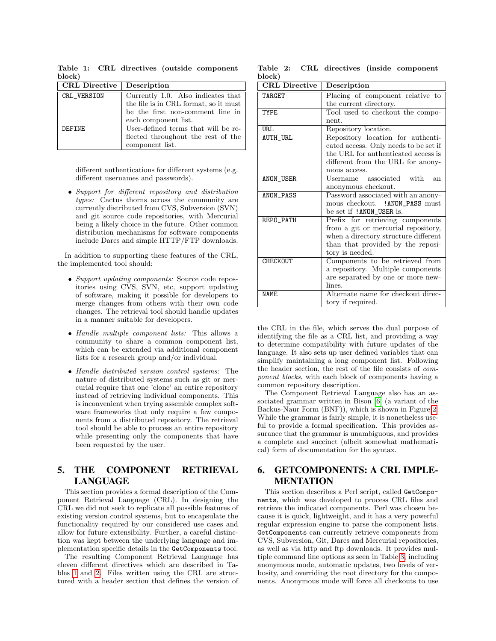| <b>CRL</b> Directive   Description |                                                                                              |
|------------------------------------|----------------------------------------------------------------------------------------------|
| CRL_VERSION                        | Currently 1.0. Also indicates that<br>the file is in CRL format, so it must                  |
|                                    | be the first non-comment line in<br>each component list.                                     |
| DEFTNE.                            | User-defined terms that will be re-<br>flected throughout the rest of the<br>component list. |

<span id="page-3-2"></span>Table 1: CRL directives (outside component block)

different authentications for different systems (e.g. different usernames and passwords).

• Support for different repository and distribution types: Cactus thorns across the community are currently distributed from CVS, Subversion (SVN) and git source code repositories, with Mercurial being a likely choice in the future. Other common distribution mechanisms for software components include Darcs and simple HTTP/FTP downloads.

In addition to supporting these features of the CRL, the implemented tool should:

- Support updating components: Source code repositories using CVS, SVN, etc, support updating of software, making it possible for developers to merge changes from others with their own code changes. The retrieval tool should handle updates in a manner suitable for developers.
- Handle multiple component lists: This allows a community to share a common component list, which can be extended via additional component lists for a research group and/or individual.
- Handle distributed version control systems: The nature of distributed systems such as git or mercurial require that one 'clone' an entire repository instead of retrieving individual components. This is inconvenient when trying assemble complex software frameworks that only require a few components from a distributed repository. The retrieval tool should be able to process an entire repository while presenting only the components that have been requested by the user.

# <span id="page-3-0"></span>5. THE COMPONENT RETRIEVAL LANGUAGE

This section provides a formal description of the Component Retrieval Language (CRL). In designing the CRL we did not seek to replicate all possible features of existing version control systems, but to encapsulate the functionality required by our considered use cases and allow for future extensibility. Further, a careful distinction was kept between the underlying language and implementation specific details in the GetComponents tool.

The resulting Component Retrieval Language has eleven different directives which are described in Tables [1](#page-3-2) and [2.](#page-3-3) Files written using the CRL are structured with a header section that defines the version of

<span id="page-3-3"></span>Table 2: CRL directives (inside component block)

| <b>CRL</b> Directive | Description                           |
|----------------------|---------------------------------------|
| <b>TARGET</b>        | Placing of component relative to      |
|                      | the current directory.                |
| <b>TYPE</b>          | Tool used to checkout the compo-      |
|                      | nent.                                 |
| URL.                 | Repository location.                  |
| <b>AUTH_URL</b>      | Repository location for authenti-     |
|                      | cated access. Only needs to be set if |
|                      | the URL for authenticated access is   |
|                      | different from the URL for anony-     |
|                      | mous access.                          |
| ANON_USER            | Username associated<br>with<br>an     |
|                      | anonymous checkout.                   |
| ANON_PASS            | Password associated with an anony-    |
|                      | mous checkout. ! ANON_PASS must       |
|                      | be set if !ANON_USER is.              |
| REPO_PATH            | Prefix for retrieving components      |
|                      | from a git or mercurial repository,   |
|                      | when a directory structure different  |
|                      | than that provided by the reposi-     |
|                      | tory is needed.                       |
| CHECKOUT             | Components to be retrieved from       |
|                      | a repository. Multiple components     |
|                      | are separated by one or more new-     |
|                      | lines.                                |
| <b>NAME</b>          | Alternate name for checkout direc-    |
|                      | tory if required.                     |

the CRL in the file, which serves the dual purpose of identifying the file as a CRL list, and providing a way to determine compatibility with future updates of the language. It also sets up user defined variables that can simplify maintaining a long component list. Following the header section, the rest of the file consists of component blocks, with each block of components having a common repository description.

The Component Retrieval Language also has an associated grammar written in Bison [\[6\]](#page-7-8) (a variant of the Backus-Naur Form (BNF)), which is shown in Figure [2.](#page-4-1) While the grammar is fairly simple, it is nonetheless useful to provide a formal specification. This provides assurance that the grammar is unambiguous, and provides a complete and succinct (albeit somewhat mathematical) form of documentation for the syntax.

# <span id="page-3-1"></span>6. GETCOMPONENTS: A CRL IMPLE-MENTATION

This section describes a Perl script, called GetComponents, which was developed to process CRL files and retrieve the indicated components. Perl was chosen because it is quick, lightweight, and it has a very powerful regular expression engine to parse the component lists. GetComponents can currently retrieve components from CVS, Subversion, Git, Darcs and Mercurial repositories, as well as via http and ftp downloads. It provides multiple command line options as seen in Table [3,](#page-5-1) including anonymous mode, automatic updates, two levels of verbosity, and overriding the root directory for the components. Anonymous mode will force all checkouts to use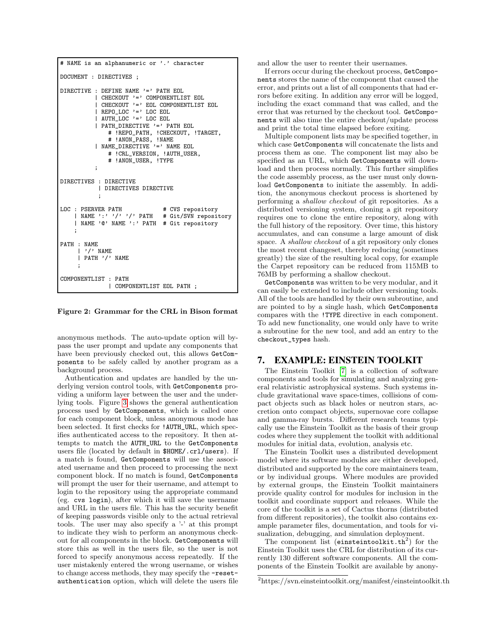```
# NAME is an alphanumeric or '.' character
DOCUMENT : DIRECTIVES ;
DIRECTIVE : DEFINE NAME '=' PATH EOL
            | CHECKOUT '=' COMPONENTLIST EOL
           | CHECKOUT '=' EOL COMPONENTLIST EOL
           | REPO_LOC '=' LOC EOL
           | AUTH_LOC '=' LOC EOL
           | PATH_DIRECTIVE '=' PATH EOL
               # !REPO_PATH, !CHECKOUT, !TARGET,
               # !ANON_PASS, !NAME
           | NAME_DIRECTIVE '=' NAME EOL
               # !CRL_VERSION, !AUTH_USER,
               # !ANON_USER, !TYPE
           ;
DIRECTIVES : DIRECTIVE
            | DIRECTIVES DIRECTIVE
            ;
LOC : PSERVER PATH # CVS repository<br>| NAME ':''/'''/' PATH # Git/SVN repository
    | NAME ': ' ' ' ' ' ' ' ' ' PATH
    | NAME '0' NAME ':' PATH # Git repository
    ;
PATH : NAME
     | '/' NAME
     | PATH '/' NAME
     ;
COMPONENTLIST : PATH
               | COMPONENTLIST EOL PATH ;
```
Figure 2: Grammar for the CRL in Bison format

anonymous methods. The auto-update option will bypass the user prompt and update any components that have been previously checked out, this allows GetComponents to be safely called by another program as a background process.

Authentication and updates are handled by the underlying version control tools, with GetComponents providing a uniform layer between the user and the underlying tools. Figure [3](#page-6-1) shows the general authentication process used by GetComponents, which is called once for each component block, unless anonymous mode has been selected. It first checks for !AUTH\_URL, which specifies authenticated access to the repository. It then attempts to match the AUTH\_URL to the GetComponents users file (located by default in \$HOME/.crl/users). If a match is found, GetComponents will use the associated username and then proceed to processing the next component block. If no match is found, GetComponents will prompt the user for their username, and attempt to login to the repository using the appropriate command (eg. cvs login), after which it will save the username and URL in the users file. This has the security benefit of keeping passwords visible only to the actual retrieval tools. The user may also specify a '-' at this prompt to indicate they wish to perform an anonymous checkout for all components in the block. GetComponents will store this as well in the users file, so the user is not forced to specify anonymous access repeatedly. If the user mistakenly entered the wrong username, or wishes to change access methods, they may specify the -resetauthentication option, which will delete the users file and allow the user to reenter their usernames.

If errors occur during the checkout process, GetComponents stores the name of the component that caused the error, and prints out a list of all components that had errors before exiting. In addition any error will be logged, including the exact command that was called, and the error that was returned by the checkout tool. GetComponents will also time the entire checkout/update process and print the total time elapsed before exiting.

Multiple component lists may be specified together, in which case GetComponents will concatenate the lists and process them as one. The component list may also be specified as an URL, which GetComponents will download and then process normally. This further simplifies the code assembly process, as the user must only download GetComponents to initiate the assembly. In addition, the anonymous checkout process is shortened by performing a shallow checkout of git repositories. As a distributed versioning system, cloning a git repository requires one to clone the entire repository, along with the full history of the repository. Over time, this history accumulates, and can consume a large amount of disk space. A shallow checkout of a git repository only clones the most recent changeset, thereby reducing (sometimes greatly) the size of the resulting local copy, for example the Carpet repository can be reduced from 115MB to 76MB by performing a shallow checkout.

GetComponents was written to be very modular, and it can easily be extended to include other versioning tools. All of the tools are handled by their own subroutine, and are pointed to by a single hash, which GetComponents compares with the !TYPE directive in each component. To add new functionality, one would only have to write a subroutine for the new tool, and add an entry to the checkout\_types hash.

# <span id="page-4-0"></span>7. EXAMPLE: EINSTEIN TOOLKIT

The Einstein Toolkit [\[7\]](#page-7-9) is a collection of software components and tools for simulating and analyzing general relativistic astrophysical systems. Such systems include gravitational wave space-times, collisions of compact objects such as black holes or neutron stars, accretion onto compact objects, supernovae core collapse and gamma-ray bursts. Different research teams typically use the Einstein Toolkit as the basis of their group codes where they supplement the toolkit with additional modules for initial data, evolution, analysis etc.

The Einstein Toolkit uses a distributed development model where its software modules are either developed, distributed and supported by the core maintainers team, or by individual groups. Where modules are provided by external groups, the Einstein Toolkit maintainers provide quality control for modules for inclusion in the toolkit and coordinate support and releases. While the core of the toolkit is a set of Cactus thorns (distributed from different repositories), the toolkit also contains example parameter files, documentation, and tools for visualization, debugging, and simulation deployment.

The component list (einsteintoolkit.th<sup>2</sup>) for the Einstein Toolkit uses the CRL for distribution of its currently 130 different software components. All the components of the Einstein Toolkit are available by anony-

 $^2$ https://svn.einsteintoolkit.org/manifest/einsteintoolkit.th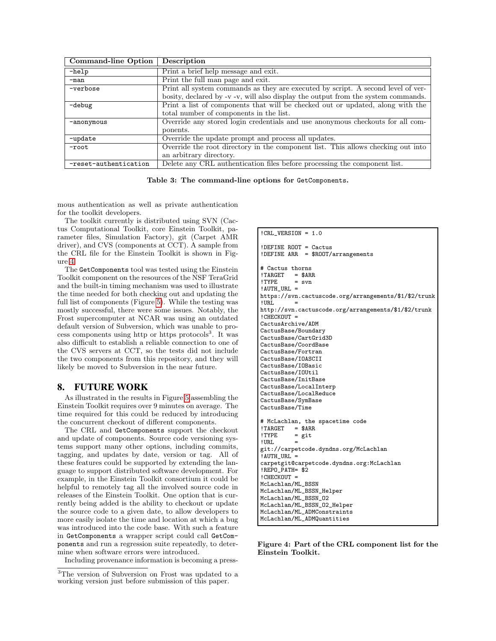<span id="page-5-1"></span>

| Command-line Option   | <b>Description</b>                                                                |
|-----------------------|-----------------------------------------------------------------------------------|
| $-$ help              | Print a brief help message and exit.                                              |
| $-man$                | Print the full man page and exit.                                                 |
| $-$ verbose           | Print all system commands as they are executed by script. A second level of ver-  |
|                       | bosity, declared by -v -v, will also display the output from the system commands. |
| -debug                | Print a list of components that will be checked out or updated, along with the    |
|                       | total number of components in the list.                                           |
| -anonymous            | Override any stored login credentials and use anonymous checkouts for all com-    |
|                       | ponents.                                                                          |
| $-update$             | Override the update prompt and process all updates.                               |
| $-root$               | Override the root directory in the component list. This allows checking out into  |
|                       | an arbitrary directory.                                                           |
| -reset-authentication | Delete any CRL authentication files before processing the component list.         |

Table 3: The command-line options for GetComponents.

mous authentication as well as private authentication for the toolkit developers.

The toolkit currently is distributed using SVN (Cactus Computational Toolkit, core Einstein Toolkit, parameter files, Simulation Factory), git (Carpet AMR driver), and CVS (components at CCT). A sample from the CRL file for the Einstein Toolkit is shown in Figure [4.](#page-5-2)

The GetComponents tool was tested using the Einstein Toolkit component on the resources of the NSF TeraGrid and the built-in timing mechanism was used to illustrate the time needed for both checking out and updating the full list of components (Figure [5\)](#page-7-10). While the testing was mostly successful, there were some issues. Notably, the Frost supercomputer at NCAR was using an outdated default version of Subversion, which was unable to process components using http or https protocols<sup>3</sup>. It was also difficult to establish a reliable connection to one of the CVS servers at CCT, so the tests did not include the two components from this repository, and they will likely be moved to Subversion in the near future.

# <span id="page-5-0"></span>8. FUTURE WORK

As illustrated in the results in Figure [5](#page-7-10) assembling the Einstein Toolkit requires over 9 minutes on average. The time required for this could be reduced by introducing the concurrent checkout of different components.

The CRL and GetComponents support the checkout and update of components. Source code versioning systems support many other options, including commits, tagging, and updates by date, version or tag. All of these features could be supported by extending the language to support distributed software development. For example, in the Einstein Toolkit consortium it could be helpful to remotely tag all the involved source code in releases of the Einstein Toolkit. One option that is currently being added is the ability to checkout or update the source code to a given date, to allow developers to more easily isolate the time and location at which a bug was introduced into the code base. With such a feature in GetComponents a wrapper script could call GetComponents and run a regression suite repeatedly, to determine when software errors were introduced.

Including provenance information is becoming a press-

<span id="page-5-2"></span>

| $ CRL_VERSION = 1.0$                                  |  |  |
|-------------------------------------------------------|--|--|
| !DEFINE ROOT = Cactus                                 |  |  |
| !DEFINE ARR = \$ROOT/arrangements                     |  |  |
|                                                       |  |  |
| # Cactus thorns                                       |  |  |
| $\texttt{!TARGE} = \texttt{\$ARR}$                    |  |  |
| ! TYPE<br>$=$ svn<br>$!$ $AUTH_URL =$                 |  |  |
| https://svn.cactuscode.org/arrangements/\$1/\$2/trunk |  |  |
| !URL                                                  |  |  |
| http://svn.cactuscode.org/arrangements/\$1/\$2/trunk  |  |  |
| $?$ CHECKOUT =                                        |  |  |
| CactusArchive/ADM                                     |  |  |
| CactusBase/Boundary                                   |  |  |
| CactusBase/CartGrid3D                                 |  |  |
| CactusBase/CoordBase                                  |  |  |
| CactusBase/Fortran                                    |  |  |
| CactusBase/IOASCII                                    |  |  |
| CactusBase/IOBasic<br>CactusBase/IOUtil               |  |  |
| CactusBase/InitBase                                   |  |  |
| CactusBase/LocalInterp                                |  |  |
| CactusBase/LocalReduce                                |  |  |
| CactusBase/SymBase                                    |  |  |
| CactusBase/Time                                       |  |  |
|                                                       |  |  |
| # McLachlan, the spacetime code                       |  |  |
| $=$ \$ARR<br>! TARGET                                 |  |  |
| ! TYPE<br>$=$ git                                     |  |  |
| !URL<br>git://carpetcode.dyndns.org/McLachlan         |  |  |
| $!$ $AUTH_URL =$                                      |  |  |
| carpetgit@carpetcode.dyndns.org:McLachlan             |  |  |
| !REPO_PATH= \$2                                       |  |  |
| $?$ CHECKOUT =                                        |  |  |
| McLachlan/ML_BSSN                                     |  |  |
| McLachlan/ML_BSSN_Helper                              |  |  |
| McLachlan/ML_BSSN_02                                  |  |  |
| McLachlan/ML_BSSN_02_Helper                           |  |  |
| McLachlan/ML_ADMConstraints                           |  |  |
| McLachlan/ML_ADMQuantities                            |  |  |

Figure 4: Part of the CRL component list for the Einstein Toolkit.

<sup>3</sup>The version of Subversion on Frost was updated to a working version just before submission of this paper.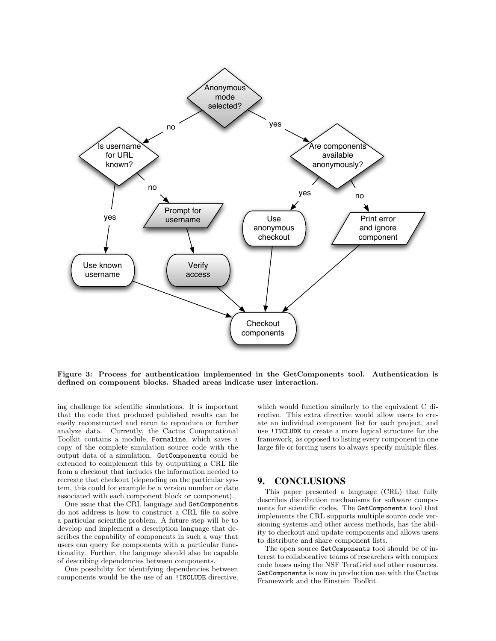<span id="page-6-1"></span>

Figure 3: Process for authentication implemented in the GetComponents tool. Authentication is defined on component blocks. Shaded areas indicate user interaction.

ing challenge for scientific simulations. It is important that the code that produced published results can be easily reconstructed and rerun to reproduce or further analyze data. Currently, the Cactus Computational Toolkit contains a module, Formaline, which saves a copy of the complete simulation source code with the output data of a simulation. GetComponents could be extended to complement this by outputting a CRL file from a checkout that includes the information needed to recreate that checkout (depending on the particular system, this could for example be a version number or date associated with each component block or component).

One issue that the CRL language and GetComponents do not address is how to construct a CRL file to solve a particular scientific problem. A future step will be to develop and implement a description language that describes the capability of components in such a way that users can query for components with a particular functionality. Further, the language should also be capable of describing dependencies between components.

One possibility for identifying dependencies between components would be the use of an !INCLUDE directive, which would function similarly to the equivalent C directive. This extra directive would allow users to create an individual component list for each project, and use !INCLUDE to create a more logical structure for the framework, as opposed to listing every component in one large file or forcing users to always specify multiple files.

## <span id="page-6-0"></span>9. CONCLUSIONS

This paper presented a language (CRL) that fully describes distribution mechanisms for software components for scientific codes. The GetComponents tool that implements the CRL supports multiple source code versioning systems and other access methods, has the ability to checkout and update components and allows users to distribute and share component lists.

The open source GetComponents tool should be of interest to collaborative teams of researchers with complex code bases using the NSF TeraGrid and other resources. GetComponents is now in production use with the Cactus Framework and the Einstein Toolkit.